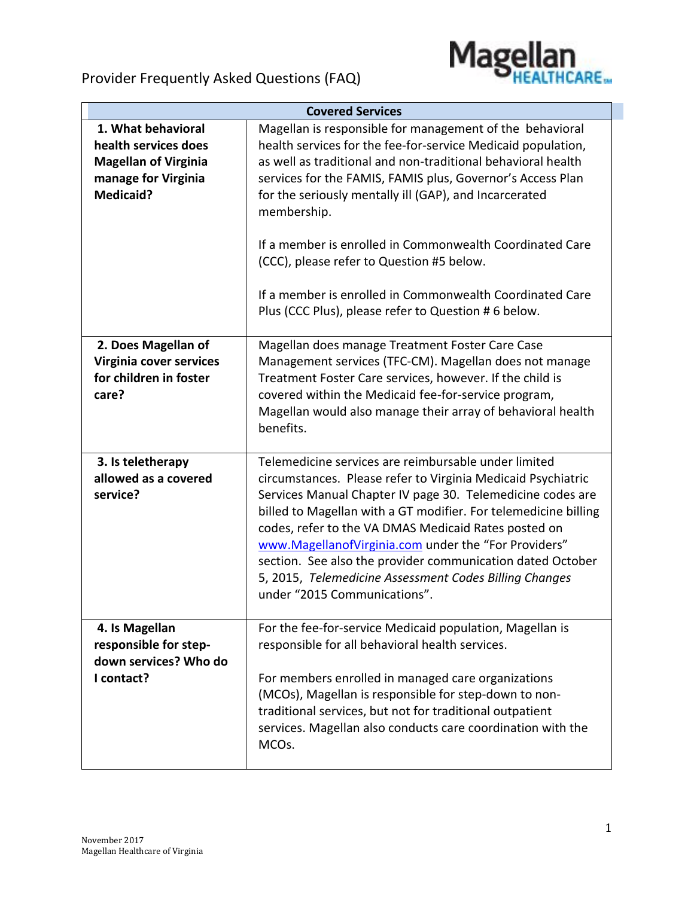



|                                                                                                                      | <b>Covered Services</b>                                                                                                                                                                                                                                                                                                                                                                                                                                                                                                                                      |
|----------------------------------------------------------------------------------------------------------------------|--------------------------------------------------------------------------------------------------------------------------------------------------------------------------------------------------------------------------------------------------------------------------------------------------------------------------------------------------------------------------------------------------------------------------------------------------------------------------------------------------------------------------------------------------------------|
| 1. What behavioral<br>health services does<br><b>Magellan of Virginia</b><br>manage for Virginia<br><b>Medicaid?</b> | Magellan is responsible for management of the behavioral<br>health services for the fee-for-service Medicaid population,<br>as well as traditional and non-traditional behavioral health<br>services for the FAMIS, FAMIS plus, Governor's Access Plan<br>for the seriously mentally ill (GAP), and Incarcerated<br>membership.<br>If a member is enrolled in Commonwealth Coordinated Care<br>(CCC), please refer to Question #5 below.<br>If a member is enrolled in Commonwealth Coordinated Care<br>Plus (CCC Plus), please refer to Question # 6 below. |
| 2. Does Magellan of<br>Virginia cover services<br>for children in foster<br>care?                                    | Magellan does manage Treatment Foster Care Case<br>Management services (TFC-CM). Magellan does not manage<br>Treatment Foster Care services, however. If the child is<br>covered within the Medicaid fee-for-service program,<br>Magellan would also manage their array of behavioral health<br>benefits.                                                                                                                                                                                                                                                    |
| 3. Is teletherapy<br>allowed as a covered<br>service?                                                                | Telemedicine services are reimbursable under limited<br>circumstances. Please refer to Virginia Medicaid Psychiatric<br>Services Manual Chapter IV page 30. Telemedicine codes are<br>billed to Magellan with a GT modifier. For telemedicine billing<br>codes, refer to the VA DMAS Medicaid Rates posted on<br>www.MagellanofVirginia.com under the "For Providers"<br>section. See also the provider communication dated October<br>5, 2015, Telemedicine Assessment Codes Billing Changes<br>under "2015 Communications".                                |
| 4. Is Magellan<br>responsible for step-<br>down services? Who do<br>I contact?                                       | For the fee-for-service Medicaid population, Magellan is<br>responsible for all behavioral health services.<br>For members enrolled in managed care organizations<br>(MCOs), Magellan is responsible for step-down to non-<br>traditional services, but not for traditional outpatient<br>services. Magellan also conducts care coordination with the<br>MCOs.                                                                                                                                                                                               |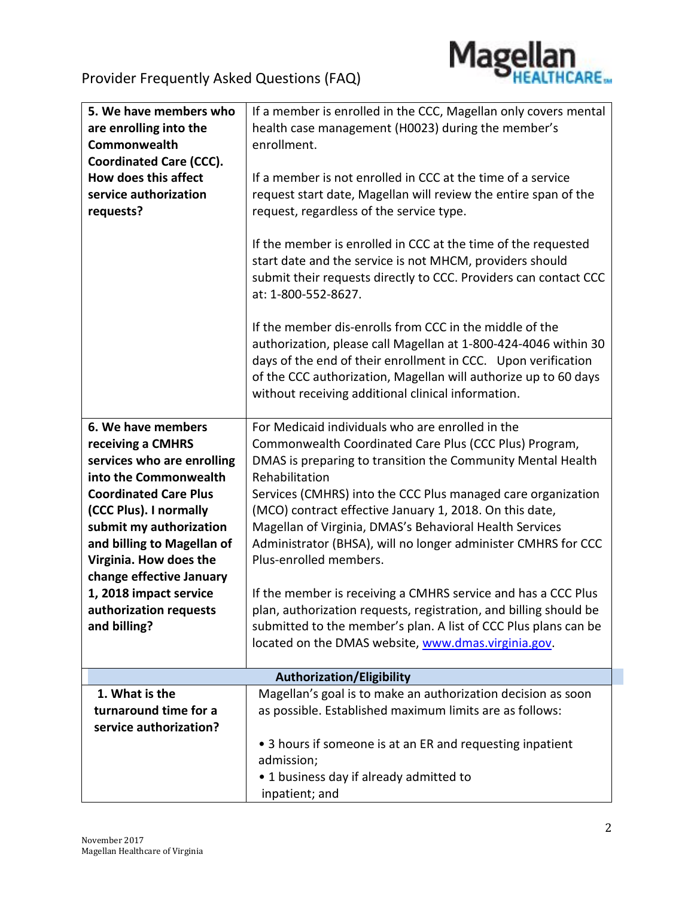

| 5. We have members who         | If a member is enrolled in the CCC, Magellan only covers mental   |
|--------------------------------|-------------------------------------------------------------------|
| are enrolling into the         | health case management (H0023) during the member's                |
| Commonwealth                   | enrollment.                                                       |
| <b>Coordinated Care (CCC).</b> |                                                                   |
| How does this affect           | If a member is not enrolled in CCC at the time of a service       |
| service authorization          | request start date, Magellan will review the entire span of the   |
| requests?                      | request, regardless of the service type.                          |
|                                |                                                                   |
|                                | If the member is enrolled in CCC at the time of the requested     |
|                                | start date and the service is not MHCM, providers should          |
|                                | submit their requests directly to CCC. Providers can contact CCC  |
|                                | at: 1-800-552-8627.                                               |
|                                |                                                                   |
|                                | If the member dis-enrolls from CCC in the middle of the           |
|                                | authorization, please call Magellan at 1-800-424-4046 within 30   |
|                                | days of the end of their enrollment in CCC. Upon verification     |
|                                | of the CCC authorization, Magellan will authorize up to 60 days   |
|                                |                                                                   |
|                                | without receiving additional clinical information.                |
| 6. We have members             | For Medicaid individuals who are enrolled in the                  |
| receiving a CMHRS              | Commonwealth Coordinated Care Plus (CCC Plus) Program,            |
| services who are enrolling     | DMAS is preparing to transition the Community Mental Health       |
| into the Commonwealth          | Rehabilitation                                                    |
| <b>Coordinated Care Plus</b>   | Services (CMHRS) into the CCC Plus managed care organization      |
| (CCC Plus). I normally         | (MCO) contract effective January 1, 2018. On this date,           |
|                                |                                                                   |
| submit my authorization        | Magellan of Virginia, DMAS's Behavioral Health Services           |
| and billing to Magellan of     | Administrator (BHSA), will no longer administer CMHRS for CCC     |
| Virginia. How does the         | Plus-enrolled members.                                            |
| change effective January       |                                                                   |
| 1, 2018 impact service         | If the member is receiving a CMHRS service and has a CCC Plus     |
| authorization requests         | plan, authorization requests, registration, and billing should be |
| and billing?                   | submitted to the member's plan. A list of CCC Plus plans can be   |
|                                | located on the DMAS website, www.dmas.virginia.gov.               |
|                                | <b>Authorization/Eligibility</b>                                  |
| 1. What is the                 | Magellan's goal is to make an authorization decision as soon      |
| turnaround time for a          | as possible. Established maximum limits are as follows:           |
| service authorization?         |                                                                   |
|                                |                                                                   |
|                                | • 3 hours if someone is at an ER and requesting inpatient         |
|                                | admission;                                                        |
|                                | • 1 business day if already admitted to                           |
|                                | inpatient; and                                                    |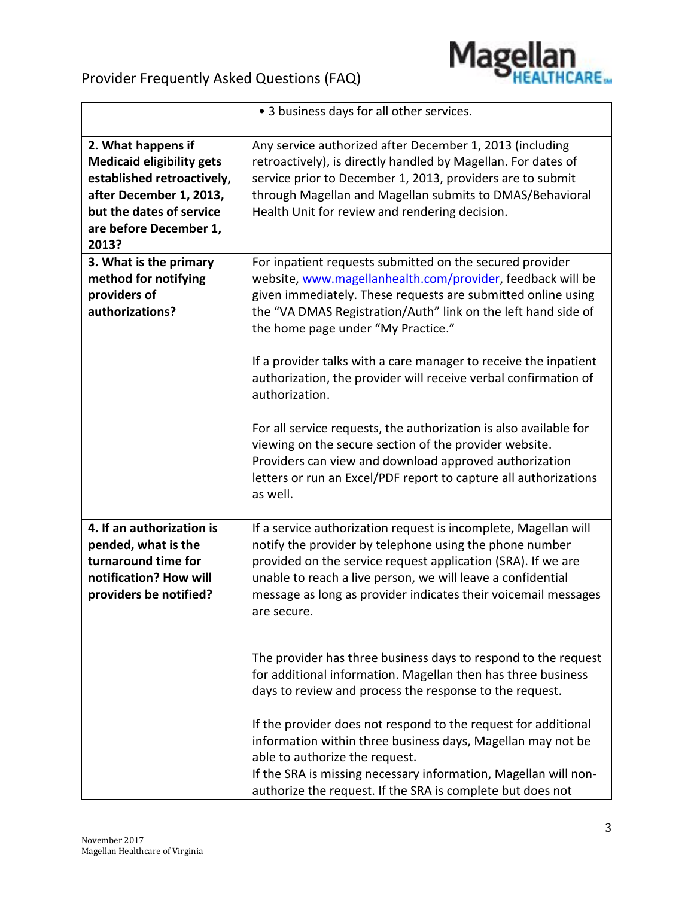

|                                                                                                                                                                                | • 3 business days for all other services.                                                                                                                                                                                                                                                                                                                                                                                                                                                                                                                                                                                                                                                                           |
|--------------------------------------------------------------------------------------------------------------------------------------------------------------------------------|---------------------------------------------------------------------------------------------------------------------------------------------------------------------------------------------------------------------------------------------------------------------------------------------------------------------------------------------------------------------------------------------------------------------------------------------------------------------------------------------------------------------------------------------------------------------------------------------------------------------------------------------------------------------------------------------------------------------|
| 2. What happens if<br><b>Medicaid eligibility gets</b><br>established retroactively,<br>after December 1, 2013,<br>but the dates of service<br>are before December 1,<br>2013? | Any service authorized after December 1, 2013 (including<br>retroactively), is directly handled by Magellan. For dates of<br>service prior to December 1, 2013, providers are to submit<br>through Magellan and Magellan submits to DMAS/Behavioral<br>Health Unit for review and rendering decision.                                                                                                                                                                                                                                                                                                                                                                                                               |
| 3. What is the primary<br>method for notifying<br>providers of<br>authorizations?                                                                                              | For inpatient requests submitted on the secured provider<br>website, www.magellanhealth.com/provider, feedback will be<br>given immediately. These requests are submitted online using<br>the "VA DMAS Registration/Auth" link on the left hand side of<br>the home page under "My Practice."<br>If a provider talks with a care manager to receive the inpatient<br>authorization, the provider will receive verbal confirmation of<br>authorization.<br>For all service requests, the authorization is also available for<br>viewing on the secure section of the provider website.<br>Providers can view and download approved authorization<br>letters or run an Excel/PDF report to capture all authorizations |
| 4. If an authorization is<br>pended, what is the<br>turnaround time for<br>notification? How will                                                                              | as well.<br>If a service authorization request is incomplete, Magellan will<br>notify the provider by telephone using the phone number<br>provided on the service request application (SRA). If we are<br>unable to reach a live person, we will leave a confidential                                                                                                                                                                                                                                                                                                                                                                                                                                               |
| providers be notified?                                                                                                                                                         | message as long as provider indicates their voicemail messages<br>are secure.<br>The provider has three business days to respond to the request<br>for additional information. Magellan then has three business<br>days to review and process the response to the request.<br>If the provider does not respond to the request for additional<br>information within three business days, Magellan may not be<br>able to authorize the request.<br>If the SRA is missing necessary information, Magellan will non-<br>authorize the request. If the SRA is complete but does not                                                                                                                                      |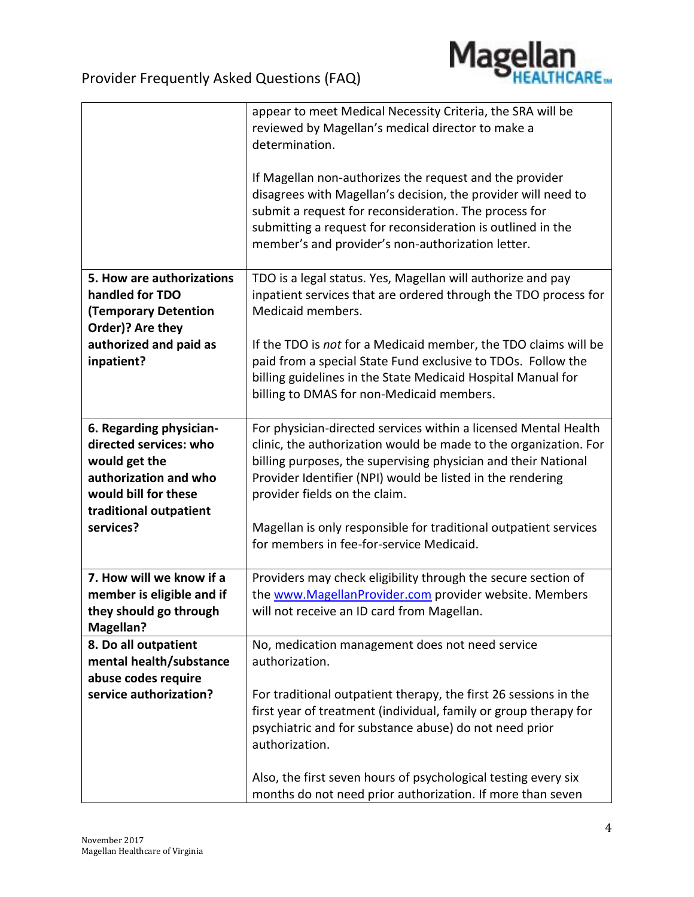

|                                                                                                                                                            | appear to meet Medical Necessity Criteria, the SRA will be<br>reviewed by Magellan's medical director to make a<br>determination.<br>If Magellan non-authorizes the request and the provider<br>disagrees with Magellan's decision, the provider will need to<br>submit a request for reconsideration. The process for<br>submitting a request for reconsideration is outlined in the<br>member's and provider's non-authorization letter. |
|------------------------------------------------------------------------------------------------------------------------------------------------------------|--------------------------------------------------------------------------------------------------------------------------------------------------------------------------------------------------------------------------------------------------------------------------------------------------------------------------------------------------------------------------------------------------------------------------------------------|
| 5. How are authorizations<br>handled for TDO<br><b>(Temporary Detention</b><br>Order)? Are they                                                            | TDO is a legal status. Yes, Magellan will authorize and pay<br>inpatient services that are ordered through the TDO process for<br>Medicaid members.                                                                                                                                                                                                                                                                                        |
| authorized and paid as<br>inpatient?                                                                                                                       | If the TDO is not for a Medicaid member, the TDO claims will be<br>paid from a special State Fund exclusive to TDOs. Follow the<br>billing guidelines in the State Medicaid Hospital Manual for<br>billing to DMAS for non-Medicaid members.                                                                                                                                                                                               |
| 6. Regarding physician-<br>directed services: who<br>would get the<br>authorization and who<br>would bill for these<br>traditional outpatient<br>services? | For physician-directed services within a licensed Mental Health<br>clinic, the authorization would be made to the organization. For<br>billing purposes, the supervising physician and their National<br>Provider Identifier (NPI) would be listed in the rendering<br>provider fields on the claim.<br>Magellan is only responsible for traditional outpatient services                                                                   |
|                                                                                                                                                            | for members in fee-for-service Medicaid.                                                                                                                                                                                                                                                                                                                                                                                                   |
| 7. How will we know if a<br>member is eligible and if<br>they should go through<br><b>Magellan?</b>                                                        | Providers may check eligibility through the secure section of<br>the www.MagellanProvider.com provider website. Members<br>will not receive an ID card from Magellan.                                                                                                                                                                                                                                                                      |
| 8. Do all outpatient<br>mental health/substance<br>abuse codes require                                                                                     | No, medication management does not need service<br>authorization.                                                                                                                                                                                                                                                                                                                                                                          |
| service authorization?                                                                                                                                     | For traditional outpatient therapy, the first 26 sessions in the<br>first year of treatment (individual, family or group therapy for<br>psychiatric and for substance abuse) do not need prior<br>authorization.                                                                                                                                                                                                                           |
|                                                                                                                                                            | Also, the first seven hours of psychological testing every six<br>months do not need prior authorization. If more than seven                                                                                                                                                                                                                                                                                                               |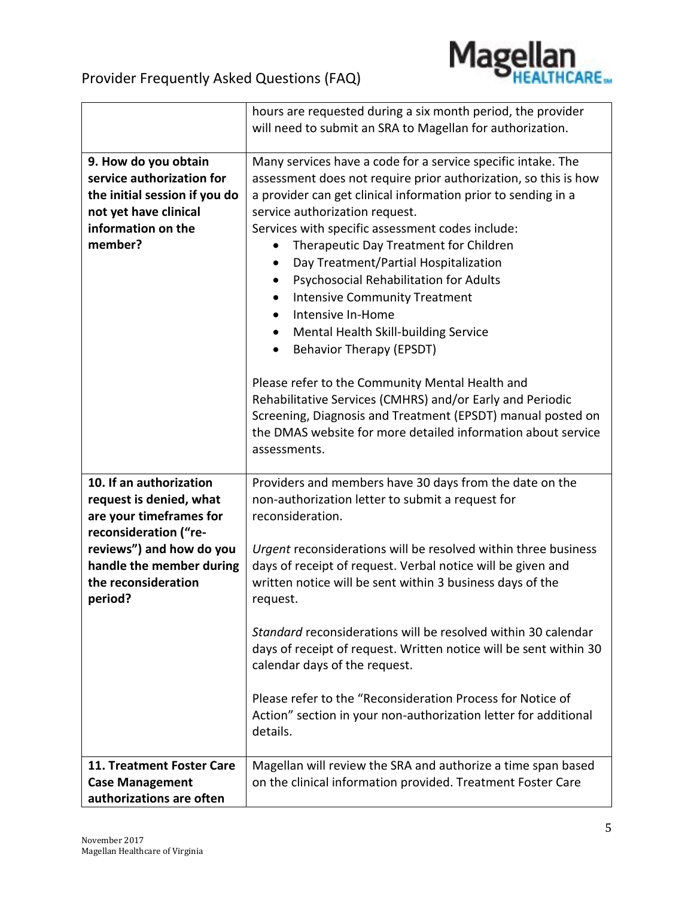

|                                                                                                                                              | hours are requested during a six month period, the provider<br>will need to submit an SRA to Magellan for authorization.                                                                                                                                                                                                                                                                                                                                                                                                                                                                                                                                           |
|----------------------------------------------------------------------------------------------------------------------------------------------|--------------------------------------------------------------------------------------------------------------------------------------------------------------------------------------------------------------------------------------------------------------------------------------------------------------------------------------------------------------------------------------------------------------------------------------------------------------------------------------------------------------------------------------------------------------------------------------------------------------------------------------------------------------------|
| 9. How do you obtain<br>service authorization for<br>the initial session if you do<br>not yet have clinical<br>information on the<br>member? | Many services have a code for a service specific intake. The<br>assessment does not require prior authorization, so this is how<br>a provider can get clinical information prior to sending in a<br>service authorization request.<br>Services with specific assessment codes include:<br>Therapeutic Day Treatment for Children<br>Day Treatment/Partial Hospitalization<br>Psychosocial Rehabilitation for Adults<br><b>Intensive Community Treatment</b><br>$\bullet$<br>Intensive In-Home<br>$\bullet$<br>Mental Health Skill-building Service<br>$\bullet$<br><b>Behavior Therapy (EPSDT)</b><br>$\bullet$<br>Please refer to the Community Mental Health and |
|                                                                                                                                              | Rehabilitative Services (CMHRS) and/or Early and Periodic<br>Screening, Diagnosis and Treatment (EPSDT) manual posted on<br>the DMAS website for more detailed information about service<br>assessments.                                                                                                                                                                                                                                                                                                                                                                                                                                                           |
| 10. If an authorization<br>request is denied, what<br>are your timeframes for<br>reconsideration ("re-                                       | Providers and members have 30 days from the date on the<br>non-authorization letter to submit a request for<br>reconsideration.                                                                                                                                                                                                                                                                                                                                                                                                                                                                                                                                    |
| reviews") and how do you<br>handle the member during<br>the reconsideration<br>period?                                                       | Urgent reconsiderations will be resolved within three business<br>days of receipt of request. Verbal notice will be given and<br>written notice will be sent within 3 business days of the<br>request.                                                                                                                                                                                                                                                                                                                                                                                                                                                             |
|                                                                                                                                              | Standard reconsiderations will be resolved within 30 calendar<br>days of receipt of request. Written notice will be sent within 30<br>calendar days of the request.                                                                                                                                                                                                                                                                                                                                                                                                                                                                                                |
|                                                                                                                                              | Please refer to the "Reconsideration Process for Notice of<br>Action" section in your non-authorization letter for additional<br>details.                                                                                                                                                                                                                                                                                                                                                                                                                                                                                                                          |
| 11. Treatment Foster Care<br><b>Case Management</b><br>authorizations are often                                                              | Magellan will review the SRA and authorize a time span based<br>on the clinical information provided. Treatment Foster Care                                                                                                                                                                                                                                                                                                                                                                                                                                                                                                                                        |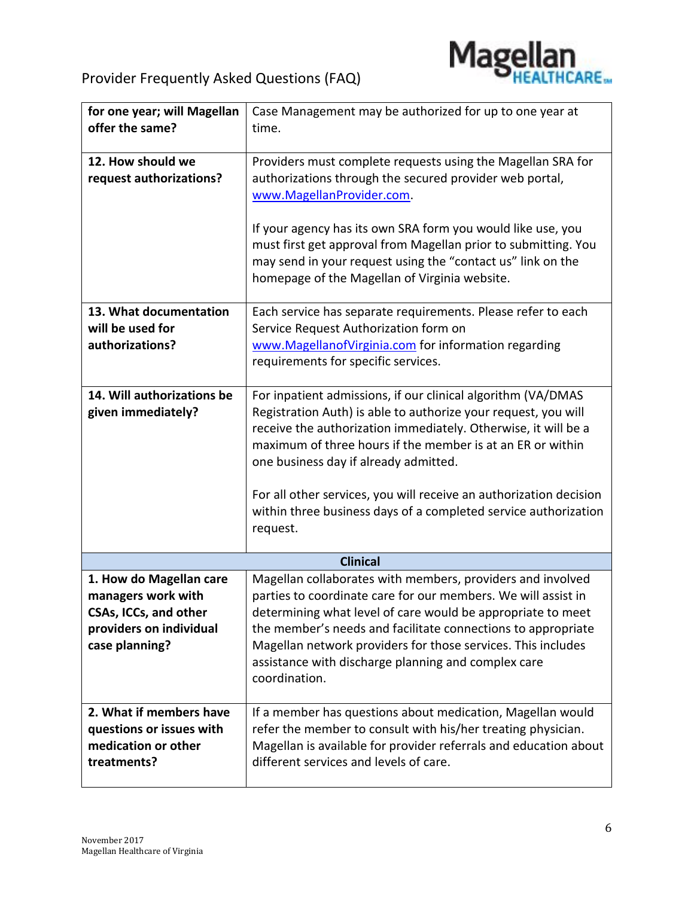

| for one year; will Magellan  | Case Management may be authorized for up to one year at            |
|------------------------------|--------------------------------------------------------------------|
| offer the same?              | time.                                                              |
|                              |                                                                    |
| 12. How should we            | Providers must complete requests using the Magellan SRA for        |
| request authorizations?      | authorizations through the secured provider web portal,            |
|                              | www.MagellanProvider.com.                                          |
|                              |                                                                    |
|                              | If your agency has its own SRA form you would like use, you        |
|                              | must first get approval from Magellan prior to submitting. You     |
|                              | may send in your request using the "contact us" link on the        |
|                              | homepage of the Magellan of Virginia website.                      |
|                              |                                                                    |
| 13. What documentation       | Each service has separate requirements. Please refer to each       |
| will be used for             | Service Request Authorization form on                              |
| authorizations?              | www.MagellanofVirginia.com for information regarding               |
|                              | requirements for specific services.                                |
|                              |                                                                    |
| 14. Will authorizations be   | For inpatient admissions, if our clinical algorithm (VA/DMAS       |
| given immediately?           | Registration Auth) is able to authorize your request, you will     |
|                              | receive the authorization immediately. Otherwise, it will be a     |
|                              | maximum of three hours if the member is at an ER or within         |
|                              | one business day if already admitted.                              |
|                              |                                                                    |
|                              | For all other services, you will receive an authorization decision |
|                              | within three business days of a completed service authorization    |
|                              | request.                                                           |
|                              |                                                                    |
|                              | <b>Clinical</b>                                                    |
| 1. How do Magellan care      | Magellan collaborates with members, providers and involved         |
| managers work with           | parties to coordinate care for our members. We will assist in      |
| <b>CSAs, ICCs, and other</b> | determining what level of care would be appropriate to meet        |
| providers on individual      | the member's needs and facilitate connections to appropriate       |
| case planning?               | Magellan network providers for those services. This includes       |
|                              | assistance with discharge planning and complex care                |
|                              | coordination.                                                      |
|                              |                                                                    |
| 2. What if members have      | If a member has questions about medication, Magellan would         |
| questions or issues with     | refer the member to consult with his/her treating physician.       |
| medication or other          | Magellan is available for provider referrals and education about   |
| treatments?                  | different services and levels of care.                             |
|                              |                                                                    |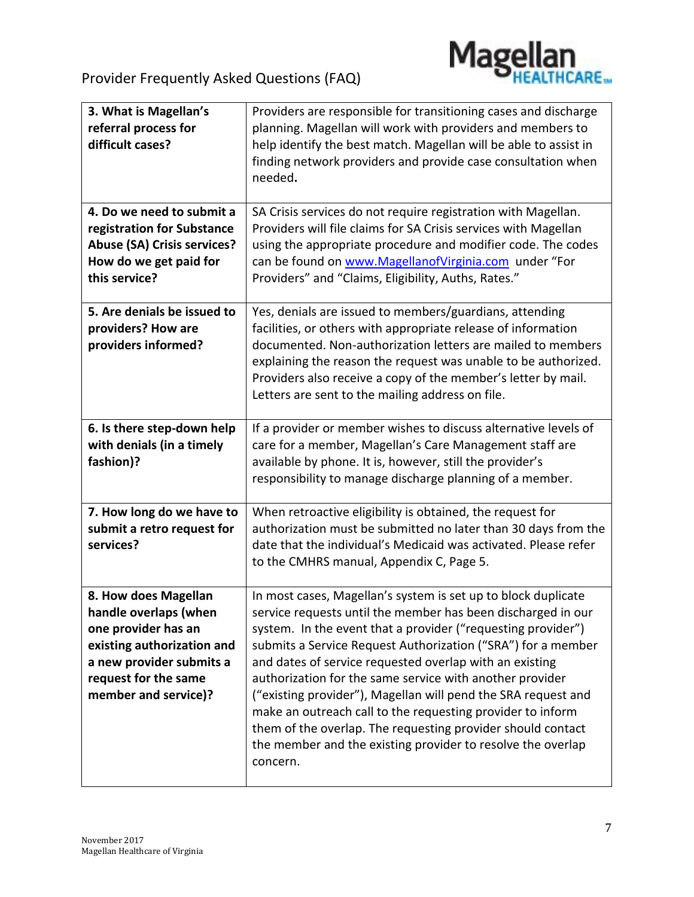

| 3. What is Magellan's<br>referral process for<br>difficult cases?                                                                                                              | Providers are responsible for transitioning cases and discharge<br>planning. Magellan will work with providers and members to<br>help identify the best match. Magellan will be able to assist in<br>finding network providers and provide case consultation when<br>needed.                                                                                                                                                                                                                                                                                                                                                                                  |
|--------------------------------------------------------------------------------------------------------------------------------------------------------------------------------|---------------------------------------------------------------------------------------------------------------------------------------------------------------------------------------------------------------------------------------------------------------------------------------------------------------------------------------------------------------------------------------------------------------------------------------------------------------------------------------------------------------------------------------------------------------------------------------------------------------------------------------------------------------|
| 4. Do we need to submit a<br>registration for Substance<br><b>Abuse (SA) Crisis services?</b><br>How do we get paid for<br>this service?                                       | SA Crisis services do not require registration with Magellan.<br>Providers will file claims for SA Crisis services with Magellan<br>using the appropriate procedure and modifier code. The codes<br>can be found on www.MagellanofVirginia.com under "For<br>Providers" and "Claims, Eligibility, Auths, Rates."                                                                                                                                                                                                                                                                                                                                              |
| 5. Are denials be issued to<br>providers? How are<br>providers informed?                                                                                                       | Yes, denials are issued to members/guardians, attending<br>facilities, or others with appropriate release of information<br>documented. Non-authorization letters are mailed to members<br>explaining the reason the request was unable to be authorized.<br>Providers also receive a copy of the member's letter by mail.<br>Letters are sent to the mailing address on file.                                                                                                                                                                                                                                                                                |
| 6. Is there step-down help<br>with denials (in a timely<br>fashion)?                                                                                                           | If a provider or member wishes to discuss alternative levels of<br>care for a member, Magellan's Care Management staff are<br>available by phone. It is, however, still the provider's<br>responsibility to manage discharge planning of a member.                                                                                                                                                                                                                                                                                                                                                                                                            |
| 7. How long do we have to<br>submit a retro request for<br>services?                                                                                                           | When retroactive eligibility is obtained, the request for<br>authorization must be submitted no later than 30 days from the<br>date that the individual's Medicaid was activated. Please refer<br>to the CMHRS manual, Appendix C, Page 5.                                                                                                                                                                                                                                                                                                                                                                                                                    |
| 8. How does Magellan<br>handle overlaps (when<br>one provider has an<br>existing authorization and<br>a new provider submits a<br>request for the same<br>member and service)? | In most cases, Magellan's system is set up to block duplicate<br>service requests until the member has been discharged in our<br>system. In the event that a provider ("requesting provider")<br>submits a Service Request Authorization ("SRA") for a member<br>and dates of service requested overlap with an existing<br>authorization for the same service with another provider<br>("existing provider"), Magellan will pend the SRA request and<br>make an outreach call to the requesting provider to inform<br>them of the overlap. The requesting provider should contact<br>the member and the existing provider to resolve the overlap<br>concern. |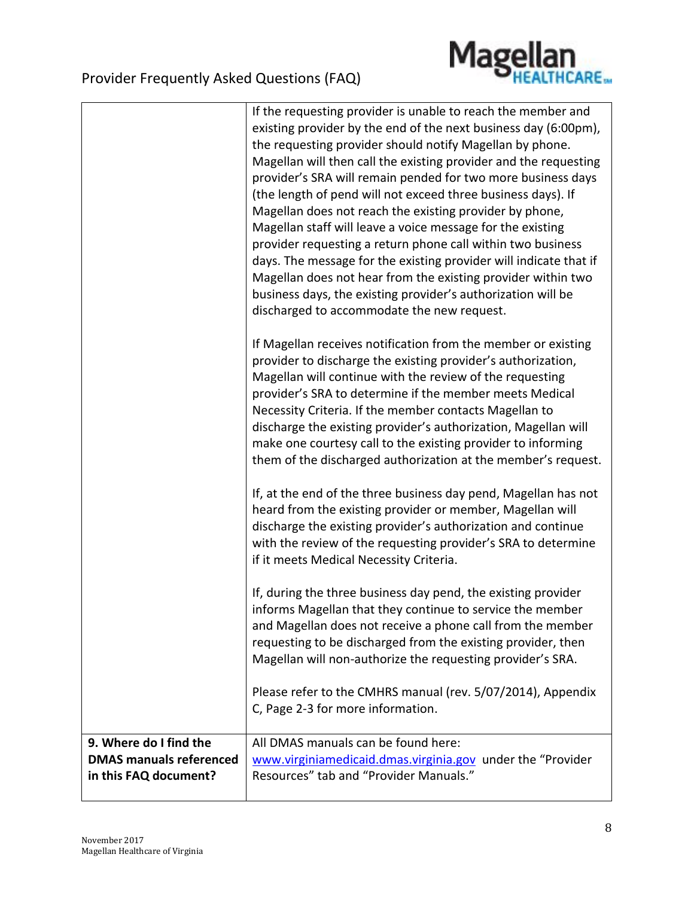

|                                                                                   | If the requesting provider is unable to reach the member and<br>existing provider by the end of the next business day (6:00pm),<br>the requesting provider should notify Magellan by phone.<br>Magellan will then call the existing provider and the requesting<br>provider's SRA will remain pended for two more business days<br>(the length of pend will not exceed three business days). If<br>Magellan does not reach the existing provider by phone,<br>Magellan staff will leave a voice message for the existing<br>provider requesting a return phone call within two business<br>days. The message for the existing provider will indicate that if<br>Magellan does not hear from the existing provider within two<br>business days, the existing provider's authorization will be<br>discharged to accommodate the new request. |
|-----------------------------------------------------------------------------------|--------------------------------------------------------------------------------------------------------------------------------------------------------------------------------------------------------------------------------------------------------------------------------------------------------------------------------------------------------------------------------------------------------------------------------------------------------------------------------------------------------------------------------------------------------------------------------------------------------------------------------------------------------------------------------------------------------------------------------------------------------------------------------------------------------------------------------------------|
|                                                                                   | If Magellan receives notification from the member or existing<br>provider to discharge the existing provider's authorization,<br>Magellan will continue with the review of the requesting<br>provider's SRA to determine if the member meets Medical<br>Necessity Criteria. If the member contacts Magellan to<br>discharge the existing provider's authorization, Magellan will<br>make one courtesy call to the existing provider to informing<br>them of the discharged authorization at the member's request.                                                                                                                                                                                                                                                                                                                          |
|                                                                                   | If, at the end of the three business day pend, Magellan has not<br>heard from the existing provider or member, Magellan will<br>discharge the existing provider's authorization and continue<br>with the review of the requesting provider's SRA to determine<br>if it meets Medical Necessity Criteria.                                                                                                                                                                                                                                                                                                                                                                                                                                                                                                                                   |
|                                                                                   | If, during the three business day pend, the existing provider<br>informs Magellan that they continue to service the member<br>and Magellan does not receive a phone call from the member<br>requesting to be discharged from the existing provider, then<br>Magellan will non-authorize the requesting provider's SRA.                                                                                                                                                                                                                                                                                                                                                                                                                                                                                                                     |
|                                                                                   | Please refer to the CMHRS manual (rev. 5/07/2014), Appendix<br>C, Page 2-3 for more information.                                                                                                                                                                                                                                                                                                                                                                                                                                                                                                                                                                                                                                                                                                                                           |
| 9. Where do I find the<br><b>DMAS manuals referenced</b><br>in this FAQ document? | All DMAS manuals can be found here:<br>www.virginiamedicaid.dmas.virginia.gov under the "Provider<br>Resources" tab and "Provider Manuals."                                                                                                                                                                                                                                                                                                                                                                                                                                                                                                                                                                                                                                                                                                |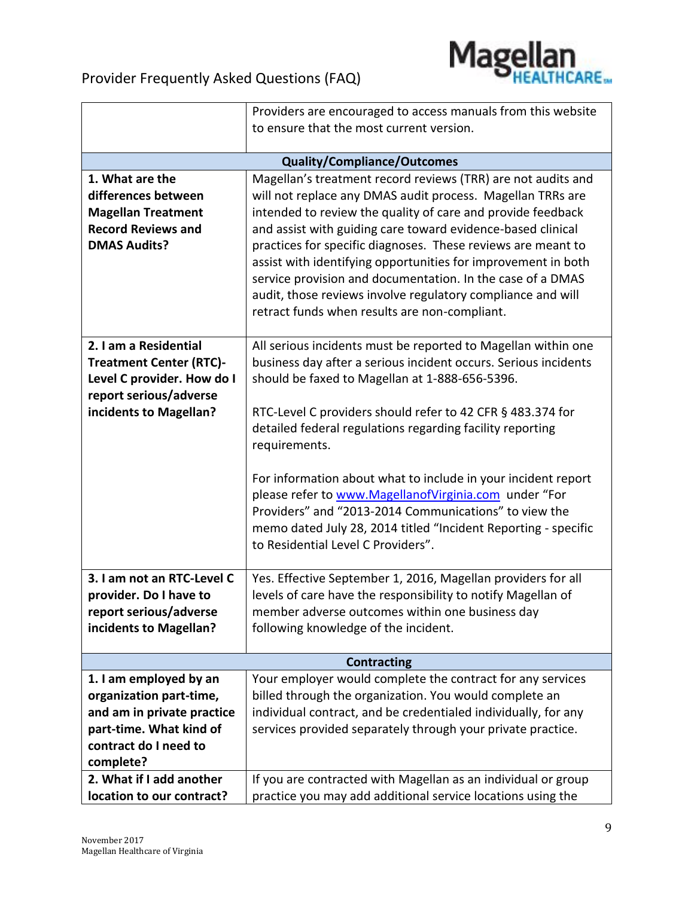

|                                                      | Providers are encouraged to access manuals from this website    |
|------------------------------------------------------|-----------------------------------------------------------------|
|                                                      | to ensure that the most current version.                        |
|                                                      |                                                                 |
|                                                      | <b>Quality/Compliance/Outcomes</b>                              |
| 1. What are the                                      | Magellan's treatment record reviews (TRR) are not audits and    |
| differences between                                  | will not replace any DMAS audit process. Magellan TRRs are      |
| <b>Magellan Treatment</b>                            | intended to review the quality of care and provide feedback     |
| <b>Record Reviews and</b>                            | and assist with guiding care toward evidence-based clinical     |
| <b>DMAS Audits?</b>                                  | practices for specific diagnoses. These reviews are meant to    |
|                                                      | assist with identifying opportunities for improvement in both   |
|                                                      | service provision and documentation. In the case of a DMAS      |
|                                                      | audit, those reviews involve regulatory compliance and will     |
|                                                      | retract funds when results are non-compliant.                   |
|                                                      |                                                                 |
| 2. I am a Residential                                | All serious incidents must be reported to Magellan within one   |
| <b>Treatment Center (RTC)-</b>                       | business day after a serious incident occurs. Serious incidents |
| Level C provider. How do I<br>report serious/adverse | should be faxed to Magellan at 1-888-656-5396.                  |
| incidents to Magellan?                               | RTC-Level C providers should refer to 42 CFR § 483.374 for      |
|                                                      | detailed federal regulations regarding facility reporting       |
|                                                      | requirements.                                                   |
|                                                      |                                                                 |
|                                                      | For information about what to include in your incident report   |
|                                                      | please refer to www.MagellanofVirginia.com under "For           |
|                                                      | Providers" and "2013-2014 Communications" to view the           |
|                                                      | memo dated July 28, 2014 titled "Incident Reporting - specific  |
|                                                      | to Residential Level C Providers".                              |
|                                                      |                                                                 |
| 3. I am not an RTC-Level C                           | Yes. Effective September 1, 2016, Magellan providers for all    |
| provider. Do I have to                               | levels of care have the responsibility to notify Magellan of    |
| report serious/adverse                               | member adverse outcomes within one business day                 |
| incidents to Magellan?                               | following knowledge of the incident.                            |
|                                                      |                                                                 |
|                                                      | <b>Contracting</b>                                              |
| 1. I am employed by an                               | Your employer would complete the contract for any services      |
| organization part-time,                              | billed through the organization. You would complete an          |
| and am in private practice                           | individual contract, and be credentialed individually, for any  |
| part-time. What kind of                              | services provided separately through your private practice.     |
| contract do I need to                                |                                                                 |
| complete?                                            |                                                                 |
| 2. What if I add another                             | If you are contracted with Magellan as an individual or group   |
| location to our contract?                            | practice you may add additional service locations using the     |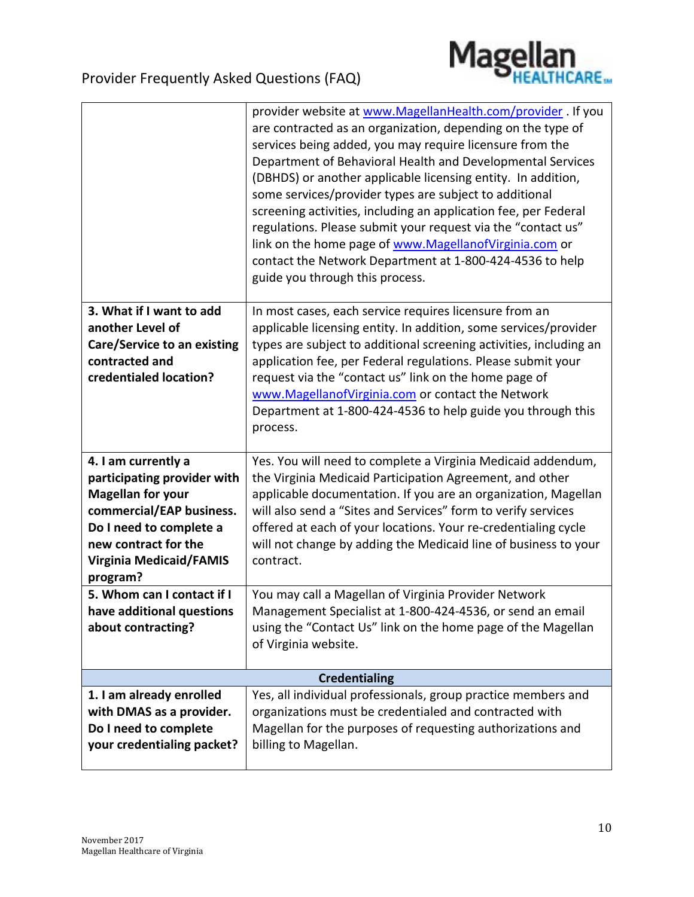

|                                                                                                                                                                                                             | provider website at www.MagellanHealth.com/provider . If you<br>are contracted as an organization, depending on the type of<br>services being added, you may require licensure from the<br>Department of Behavioral Health and Developmental Services<br>(DBHDS) or another applicable licensing entity. In addition,<br>some services/provider types are subject to additional<br>screening activities, including an application fee, per Federal<br>regulations. Please submit your request via the "contact us"<br>link on the home page of www.Magellanof Virginia.com or<br>contact the Network Department at 1-800-424-4536 to help<br>guide you through this process. |
|-------------------------------------------------------------------------------------------------------------------------------------------------------------------------------------------------------------|------------------------------------------------------------------------------------------------------------------------------------------------------------------------------------------------------------------------------------------------------------------------------------------------------------------------------------------------------------------------------------------------------------------------------------------------------------------------------------------------------------------------------------------------------------------------------------------------------------------------------------------------------------------------------|
| 3. What if I want to add<br>another Level of<br><b>Care/Service to an existing</b><br>contracted and<br>credentialed location?                                                                              | In most cases, each service requires licensure from an<br>applicable licensing entity. In addition, some services/provider<br>types are subject to additional screening activities, including an<br>application fee, per Federal regulations. Please submit your<br>request via the "contact us" link on the home page of<br>www.MagellanofVirginia.com or contact the Network<br>Department at 1-800-424-4536 to help guide you through this<br>process.                                                                                                                                                                                                                    |
| 4. I am currently a<br>participating provider with<br><b>Magellan for your</b><br>commercial/EAP business.<br>Do I need to complete a<br>new contract for the<br><b>Virginia Medicaid/FAMIS</b><br>program? | Yes. You will need to complete a Virginia Medicaid addendum,<br>the Virginia Medicaid Participation Agreement, and other<br>applicable documentation. If you are an organization, Magellan<br>will also send a "Sites and Services" form to verify services<br>offered at each of your locations. Your re-credentialing cycle<br>will not change by adding the Medicaid line of business to your<br>contract.                                                                                                                                                                                                                                                                |
| 5. Whom can I contact if I<br>have additional questions<br>about contracting?                                                                                                                               | You may call a Magellan of Virginia Provider Network<br>Management Specialist at 1-800-424-4536, or send an email<br>using the "Contact Us" link on the home page of the Magellan<br>of Virginia website.                                                                                                                                                                                                                                                                                                                                                                                                                                                                    |
|                                                                                                                                                                                                             | <b>Credentialing</b>                                                                                                                                                                                                                                                                                                                                                                                                                                                                                                                                                                                                                                                         |
| 1. I am already enrolled<br>with DMAS as a provider.<br>Do I need to complete<br>your credentialing packet?                                                                                                 | Yes, all individual professionals, group practice members and<br>organizations must be credentialed and contracted with<br>Magellan for the purposes of requesting authorizations and<br>billing to Magellan.                                                                                                                                                                                                                                                                                                                                                                                                                                                                |
|                                                                                                                                                                                                             |                                                                                                                                                                                                                                                                                                                                                                                                                                                                                                                                                                                                                                                                              |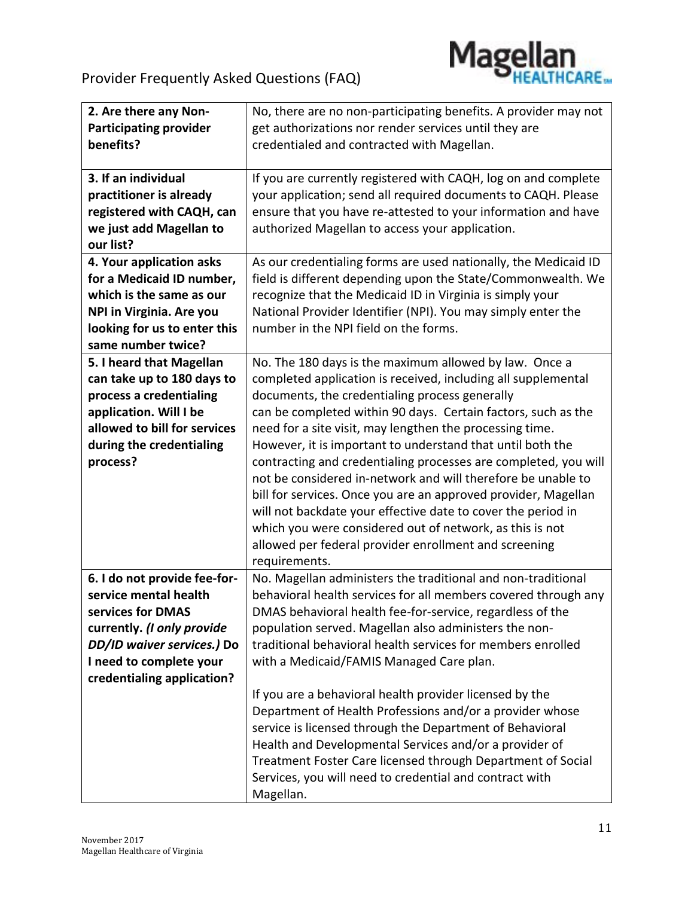

| 2. Are there any Non-         | No, there are no non-participating benefits. A provider may not |
|-------------------------------|-----------------------------------------------------------------|
| <b>Participating provider</b> | get authorizations nor render services until they are           |
| benefits?                     | credentialed and contracted with Magellan.                      |
|                               |                                                                 |
| 3. If an individual           | If you are currently registered with CAQH, log on and complete  |
| practitioner is already       | your application; send all required documents to CAQH. Please   |
| registered with CAQH, can     | ensure that you have re-attested to your information and have   |
| we just add Magellan to       | authorized Magellan to access your application.                 |
| our list?                     |                                                                 |
| 4. Your application asks      | As our credentialing forms are used nationally, the Medicaid ID |
| for a Medicaid ID number,     | field is different depending upon the State/Commonwealth. We    |
| which is the same as our      | recognize that the Medicaid ID in Virginia is simply your       |
| NPI in Virginia. Are you      | National Provider Identifier (NPI). You may simply enter the    |
| looking for us to enter this  | number in the NPI field on the forms.                           |
| same number twice?            |                                                                 |
| 5. I heard that Magellan      | No. The 180 days is the maximum allowed by law. Once a          |
| can take up to 180 days to    | completed application is received, including all supplemental   |
| process a credentialing       | documents, the credentialing process generally                  |
| application. Will I be        | can be completed within 90 days. Certain factors, such as the   |
| allowed to bill for services  | need for a site visit, may lengthen the processing time.        |
| during the credentialing      | However, it is important to understand that until both the      |
| process?                      | contracting and credentialing processes are completed, you will |
|                               | not be considered in-network and will therefore be unable to    |
|                               | bill for services. Once you are an approved provider, Magellan  |
|                               | will not backdate your effective date to cover the period in    |
|                               | which you were considered out of network, as this is not        |
|                               | allowed per federal provider enrollment and screening           |
|                               | requirements.                                                   |
| 6. I do not provide fee-for-  | No. Magellan administers the traditional and non-traditional    |
| service mental health         | behavioral health services for all members covered through any  |
| services for DMAS             | DMAS behavioral health fee-for-service, regardless of the       |
| currently. (I only provide    | population served. Magellan also administers the non-           |
| DD/ID waiver services.) Do    | traditional behavioral health services for members enrolled     |
| I need to complete your       | with a Medicaid/FAMIS Managed Care plan.                        |
| credentialing application?    |                                                                 |
|                               | If you are a behavioral health provider licensed by the         |
|                               | Department of Health Professions and/or a provider whose        |
|                               | service is licensed through the Department of Behavioral        |
|                               | Health and Developmental Services and/or a provider of          |
|                               | Treatment Foster Care licensed through Department of Social     |
|                               | Services, you will need to credential and contract with         |
|                               | Magellan.                                                       |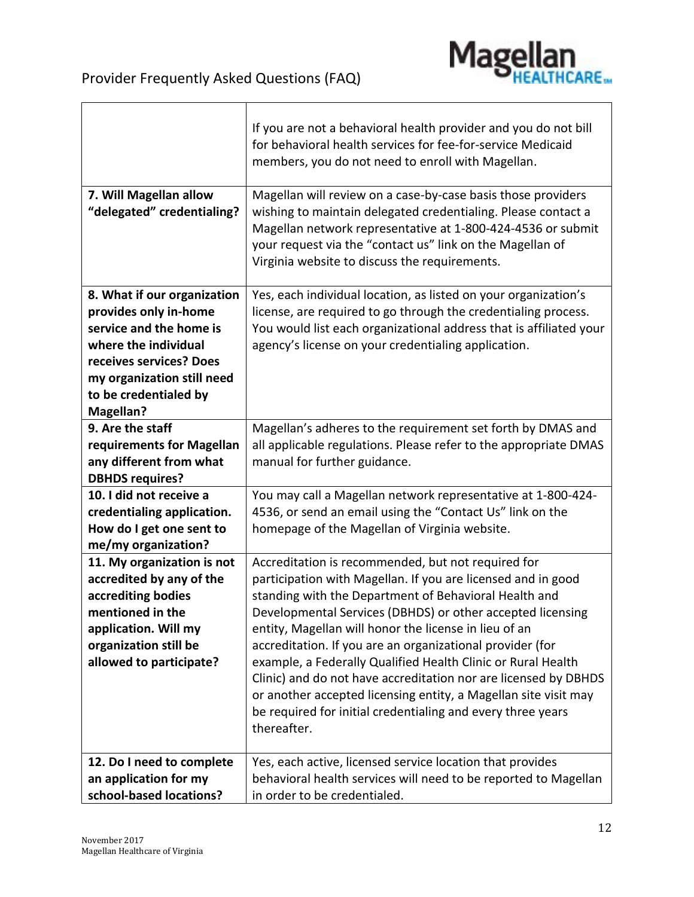

 $\overline{\phantom{a}}$ 

| 7. Will Magellan allow                           | If you are not a behavioral health provider and you do not bill<br>for behavioral health services for fee-for-service Medicaid<br>members, you do not need to enroll with Magellan.<br>Magellan will review on a case-by-case basis those providers |
|--------------------------------------------------|-----------------------------------------------------------------------------------------------------------------------------------------------------------------------------------------------------------------------------------------------------|
| "delegated" credentialing?                       | wishing to maintain delegated credentialing. Please contact a<br>Magellan network representative at 1-800-424-4536 or submit<br>your request via the "contact us" link on the Magellan of<br>Virginia website to discuss the requirements.          |
| 8. What if our organization                      | Yes, each individual location, as listed on your organization's                                                                                                                                                                                     |
| provides only in-home                            | license, are required to go through the credentialing process.                                                                                                                                                                                      |
| service and the home is                          | You would list each organizational address that is affiliated your                                                                                                                                                                                  |
| where the individual                             | agency's license on your credentialing application.                                                                                                                                                                                                 |
| receives services? Does                          |                                                                                                                                                                                                                                                     |
| my organization still need                       |                                                                                                                                                                                                                                                     |
| to be credentialed by                            |                                                                                                                                                                                                                                                     |
| <b>Magellan?</b>                                 |                                                                                                                                                                                                                                                     |
| 9. Are the staff                                 | Magellan's adheres to the requirement set forth by DMAS and                                                                                                                                                                                         |
| requirements for Magellan                        | all applicable regulations. Please refer to the appropriate DMAS                                                                                                                                                                                    |
| any different from what                          | manual for further guidance.                                                                                                                                                                                                                        |
| <b>DBHDS requires?</b>                           |                                                                                                                                                                                                                                                     |
| 10. I did not receive a                          | You may call a Magellan network representative at 1-800-424-                                                                                                                                                                                        |
| credentialing application.                       | 4536, or send an email using the "Contact Us" link on the                                                                                                                                                                                           |
| How do I get one sent to                         | homepage of the Magellan of Virginia website.                                                                                                                                                                                                       |
| me/my organization?                              |                                                                                                                                                                                                                                                     |
| 11. My organization is not                       | Accreditation is recommended, but not required for                                                                                                                                                                                                  |
| accredited by any of the                         | participation with Magellan. If you are licensed and in good                                                                                                                                                                                        |
| accrediting bodies<br>mentioned in the           | standing with the Department of Behavioral Health and                                                                                                                                                                                               |
|                                                  | Developmental Services (DBHDS) or other accepted licensing                                                                                                                                                                                          |
| application. Will my<br>organization still be    | entity, Magellan will honor the license in lieu of an<br>accreditation. If you are an organizational provider (for                                                                                                                                  |
| allowed to participate?                          | example, a Federally Qualified Health Clinic or Rural Health                                                                                                                                                                                        |
|                                                  | Clinic) and do not have accreditation nor are licensed by DBHDS                                                                                                                                                                                     |
|                                                  | or another accepted licensing entity, a Magellan site visit may<br>be required for initial credentialing and every three years<br>thereafter.                                                                                                       |
|                                                  |                                                                                                                                                                                                                                                     |
| 12. Do I need to complete                        | Yes, each active, licensed service location that provides                                                                                                                                                                                           |
| an application for my<br>school-based locations? | behavioral health services will need to be reported to Magellan<br>in order to be credentialed.                                                                                                                                                     |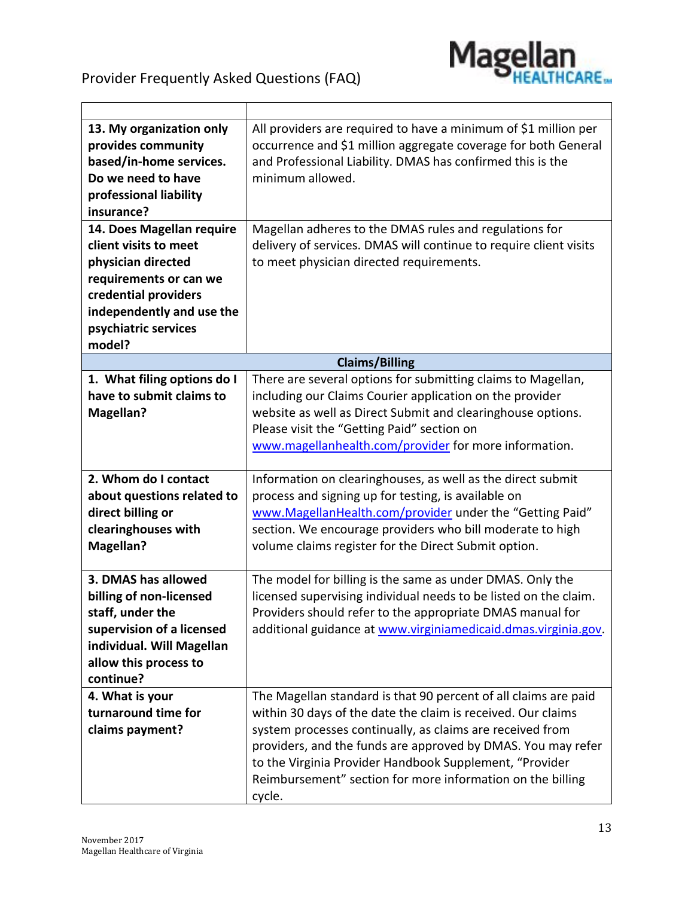$\overline{\phantom{a}}$ 



٦

| 13. My organization only    | All providers are required to have a minimum of \$1 million per   |
|-----------------------------|-------------------------------------------------------------------|
| provides community          | occurrence and \$1 million aggregate coverage for both General    |
| based/in-home services.     | and Professional Liability. DMAS has confirmed this is the        |
| Do we need to have          | minimum allowed.                                                  |
| professional liability      |                                                                   |
| insurance?                  |                                                                   |
| 14. Does Magellan require   | Magellan adheres to the DMAS rules and regulations for            |
| client visits to meet       | delivery of services. DMAS will continue to require client visits |
| physician directed          | to meet physician directed requirements.                          |
| requirements or can we      |                                                                   |
| credential providers        |                                                                   |
| independently and use the   |                                                                   |
| psychiatric services        |                                                                   |
| model?                      |                                                                   |
|                             | <b>Claims/Billing</b>                                             |
| 1. What filing options do I | There are several options for submitting claims to Magellan,      |
| have to submit claims to    | including our Claims Courier application on the provider          |
| <b>Magellan?</b>            | website as well as Direct Submit and clearinghouse options.       |
|                             | Please visit the "Getting Paid" section on                        |
|                             | www.magellanhealth.com/provider for more information.             |
|                             |                                                                   |
| 2. Whom do I contact        | Information on clearinghouses, as well as the direct submit       |
| about questions related to  | process and signing up for testing, is available on               |
| direct billing or           | www.MagellanHealth.com/provider under the "Getting Paid"          |
| clearinghouses with         | section. We encourage providers who bill moderate to high         |
| <b>Magellan?</b>            | volume claims register for the Direct Submit option.              |
|                             |                                                                   |
| 3. DMAS has allowed         | The model for billing is the same as under DMAS. Only the         |
| billing of non-licensed     | licensed supervising individual needs to be listed on the claim.  |
| staff, under the            | Providers should refer to the appropriate DMAS manual for         |
| supervision of a licensed   | additional guidance at www.virginiamedicaid.dmas.virginia.gov.    |
| individual. Will Magellan   |                                                                   |
| allow this process to       |                                                                   |
| continue?                   |                                                                   |
| 4. What is your             | The Magellan standard is that 90 percent of all claims are paid   |
| turnaround time for         | within 30 days of the date the claim is received. Our claims      |
| claims payment?             | system processes continually, as claims are received from         |
|                             | providers, and the funds are approved by DMAS. You may refer      |
|                             | to the Virginia Provider Handbook Supplement, "Provider           |
|                             | Reimbursement" section for more information on the billing        |
|                             | cycle.                                                            |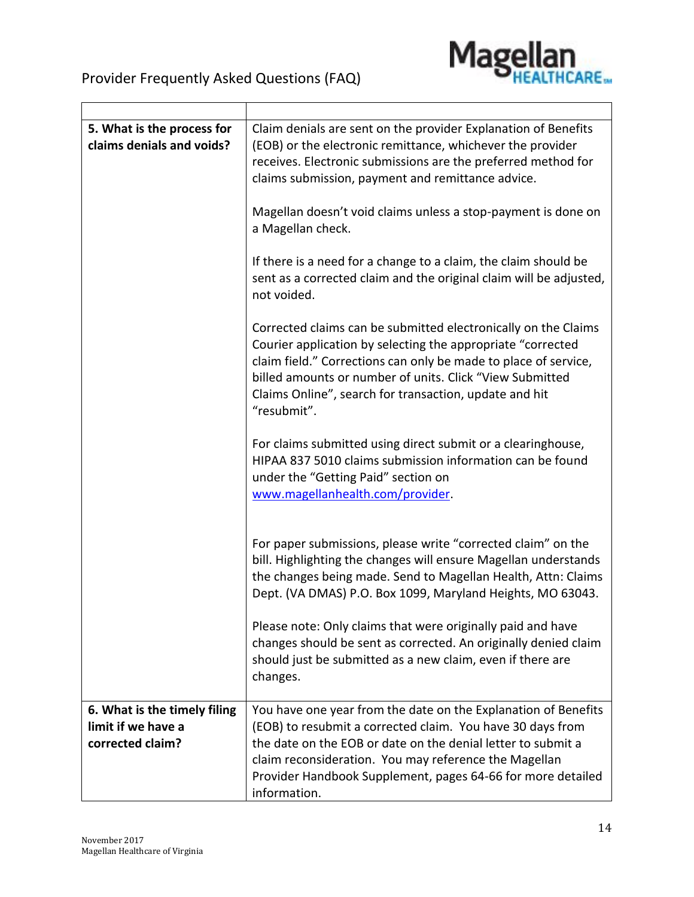

 $\overline{\phantom{0}}$ 

| 5. What is the process for<br>claims denials and voids? | Claim denials are sent on the provider Explanation of Benefits<br>(EOB) or the electronic remittance, whichever the provider<br>receives. Electronic submissions are the preferred method for<br>claims submission, payment and remittance advice.                                                                                    |
|---------------------------------------------------------|---------------------------------------------------------------------------------------------------------------------------------------------------------------------------------------------------------------------------------------------------------------------------------------------------------------------------------------|
|                                                         | Magellan doesn't void claims unless a stop-payment is done on<br>a Magellan check.                                                                                                                                                                                                                                                    |
|                                                         | If there is a need for a change to a claim, the claim should be<br>sent as a corrected claim and the original claim will be adjusted,<br>not voided.                                                                                                                                                                                  |
|                                                         | Corrected claims can be submitted electronically on the Claims<br>Courier application by selecting the appropriate "corrected<br>claim field." Corrections can only be made to place of service,<br>billed amounts or number of units. Click "View Submitted<br>Claims Online", search for transaction, update and hit<br>"resubmit". |
|                                                         | For claims submitted using direct submit or a clearinghouse,<br>HIPAA 837 5010 claims submission information can be found<br>under the "Getting Paid" section on<br>www.magellanhealth.com/provider.                                                                                                                                  |
|                                                         | For paper submissions, please write "corrected claim" on the<br>bill. Highlighting the changes will ensure Magellan understands<br>the changes being made. Send to Magellan Health, Attn: Claims<br>Dept. (VA DMAS) P.O. Box 1099, Maryland Heights, MO 63043.                                                                        |
|                                                         | Please note: Only claims that were originally paid and have<br>changes should be sent as corrected. An originally denied claim<br>should just be submitted as a new claim, even if there are<br>changes.                                                                                                                              |
| 6. What is the timely filing                            | You have one year from the date on the Explanation of Benefits                                                                                                                                                                                                                                                                        |
| limit if we have a                                      | (EOB) to resubmit a corrected claim. You have 30 days from                                                                                                                                                                                                                                                                            |
| corrected claim?                                        | the date on the EOB or date on the denial letter to submit a                                                                                                                                                                                                                                                                          |
|                                                         | claim reconsideration. You may reference the Magellan                                                                                                                                                                                                                                                                                 |
|                                                         | Provider Handbook Supplement, pages 64-66 for more detailed                                                                                                                                                                                                                                                                           |
|                                                         | information.                                                                                                                                                                                                                                                                                                                          |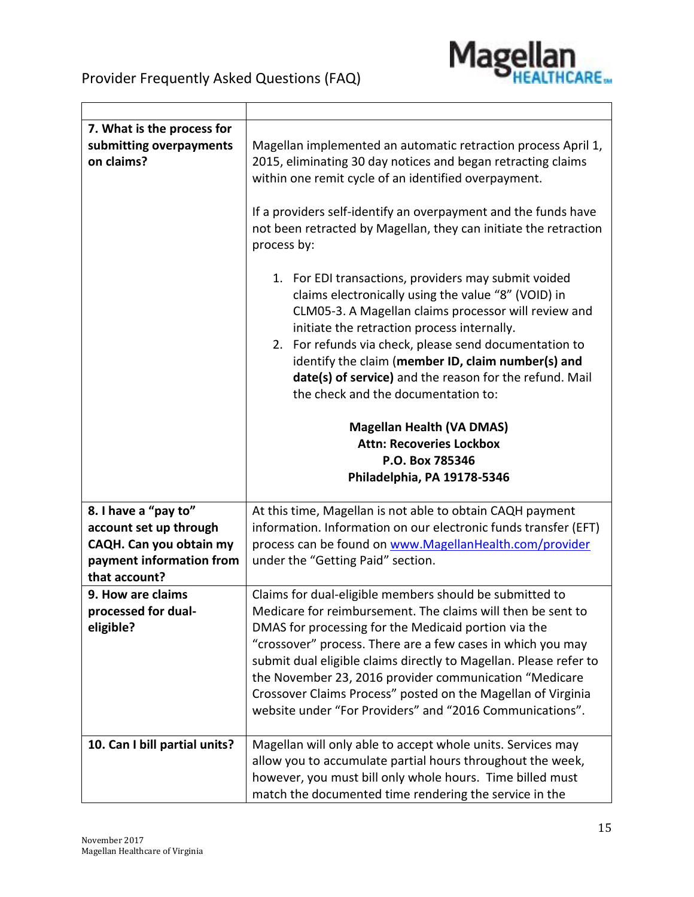

| 7. What is the process for<br>submitting overpayments<br>on claims? | Magellan implemented an automatic retraction process April 1,<br>2015, eliminating 30 day notices and began retracting claims<br>within one remit cycle of an identified overpayment.                                                                                                                                                                                                                                                |
|---------------------------------------------------------------------|--------------------------------------------------------------------------------------------------------------------------------------------------------------------------------------------------------------------------------------------------------------------------------------------------------------------------------------------------------------------------------------------------------------------------------------|
|                                                                     | If a providers self-identify an overpayment and the funds have<br>not been retracted by Magellan, they can initiate the retraction<br>process by:                                                                                                                                                                                                                                                                                    |
|                                                                     | 1. For EDI transactions, providers may submit voided<br>claims electronically using the value "8" (VOID) in<br>CLM05-3. A Magellan claims processor will review and<br>initiate the retraction process internally.<br>2. For refunds via check, please send documentation to<br>identify the claim (member ID, claim number(s) and<br>date(s) of service) and the reason for the refund. Mail<br>the check and the documentation to: |
|                                                                     | <b>Magellan Health (VA DMAS)</b>                                                                                                                                                                                                                                                                                                                                                                                                     |
|                                                                     | <b>Attn: Recoveries Lockbox</b>                                                                                                                                                                                                                                                                                                                                                                                                      |
|                                                                     | P.O. Box 785346                                                                                                                                                                                                                                                                                                                                                                                                                      |
|                                                                     | Philadelphia, PA 19178-5346                                                                                                                                                                                                                                                                                                                                                                                                          |
|                                                                     |                                                                                                                                                                                                                                                                                                                                                                                                                                      |
| 8. I have a "pay to"                                                | At this time, Magellan is not able to obtain CAQH payment                                                                                                                                                                                                                                                                                                                                                                            |
| account set up through                                              | information. Information on our electronic funds transfer (EFT)                                                                                                                                                                                                                                                                                                                                                                      |
| CAQH. Can you obtain my                                             | process can be found on www.MagellanHealth.com/provider                                                                                                                                                                                                                                                                                                                                                                              |
| payment information from                                            | under the "Getting Paid" section.                                                                                                                                                                                                                                                                                                                                                                                                    |
| that account?                                                       |                                                                                                                                                                                                                                                                                                                                                                                                                                      |
| 9. How are claims                                                   | Claims for dual-eligible members should be submitted to                                                                                                                                                                                                                                                                                                                                                                              |
| processed for dual-                                                 | Medicare for reimbursement. The claims will then be sent to                                                                                                                                                                                                                                                                                                                                                                          |
| eligible?                                                           | DMAS for processing for the Medicaid portion via the                                                                                                                                                                                                                                                                                                                                                                                 |
|                                                                     | "crossover" process. There are a few cases in which you may                                                                                                                                                                                                                                                                                                                                                                          |
|                                                                     | submit dual eligible claims directly to Magellan. Please refer to                                                                                                                                                                                                                                                                                                                                                                    |
|                                                                     | the November 23, 2016 provider communication "Medicare                                                                                                                                                                                                                                                                                                                                                                               |
|                                                                     | Crossover Claims Process" posted on the Magellan of Virginia                                                                                                                                                                                                                                                                                                                                                                         |
|                                                                     | website under "For Providers" and "2016 Communications".                                                                                                                                                                                                                                                                                                                                                                             |
| 10. Can I bill partial units?                                       | Magellan will only able to accept whole units. Services may                                                                                                                                                                                                                                                                                                                                                                          |
|                                                                     | allow you to accumulate partial hours throughout the week,<br>however, you must bill only whole hours. Time billed must<br>match the documented time rendering the service in the                                                                                                                                                                                                                                                    |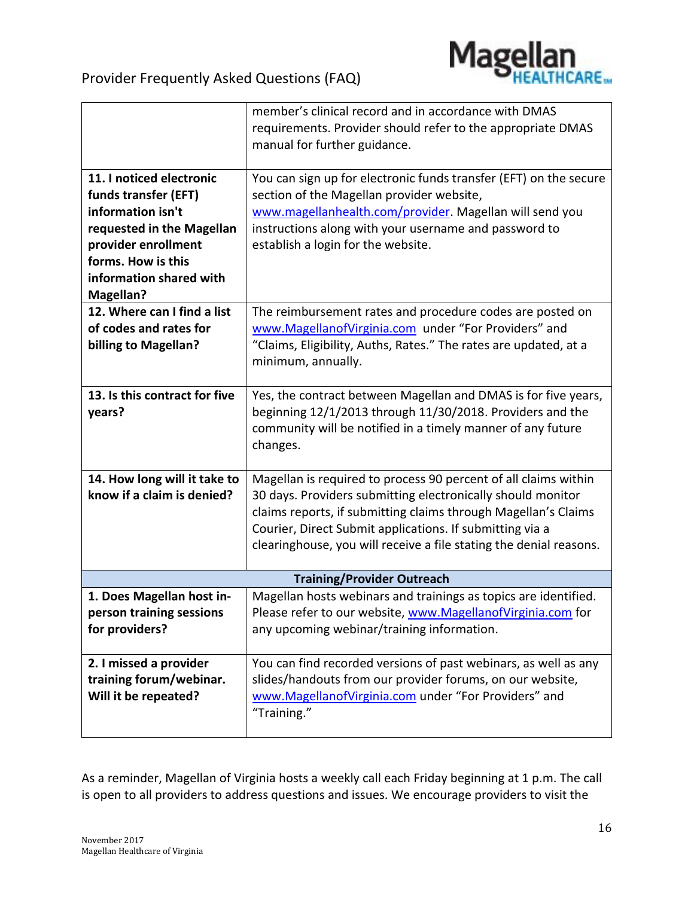

|                                   | member's clinical record and in accordance with DMAS<br>requirements. Provider should refer to the appropriate DMAS |  |
|-----------------------------------|---------------------------------------------------------------------------------------------------------------------|--|
|                                   | manual for further guidance.                                                                                        |  |
| 11. I noticed electronic          | You can sign up for electronic funds transfer (EFT) on the secure                                                   |  |
| funds transfer (EFT)              | section of the Magellan provider website,                                                                           |  |
| information isn't                 | www.magellanhealth.com/provider. Magellan will send you                                                             |  |
| requested in the Magellan         | instructions along with your username and password to                                                               |  |
| provider enrollment               | establish a login for the website.                                                                                  |  |
| forms. How is this                |                                                                                                                     |  |
| information shared with           |                                                                                                                     |  |
| <b>Magellan?</b>                  |                                                                                                                     |  |
| 12. Where can I find a list       | The reimbursement rates and procedure codes are posted on                                                           |  |
| of codes and rates for            | www.MagellanofVirginia.com under "For Providers" and                                                                |  |
| billing to Magellan?              | "Claims, Eligibility, Auths, Rates." The rates are updated, at a                                                    |  |
|                                   | minimum, annually.                                                                                                  |  |
|                                   |                                                                                                                     |  |
| 13. Is this contract for five     | Yes, the contract between Magellan and DMAS is for five years,                                                      |  |
| years?                            | beginning 12/1/2013 through 11/30/2018. Providers and the                                                           |  |
|                                   | community will be notified in a timely manner of any future                                                         |  |
|                                   | changes.                                                                                                            |  |
| 14. How long will it take to      | Magellan is required to process 90 percent of all claims within                                                     |  |
| know if a claim is denied?        | 30 days. Providers submitting electronically should monitor                                                         |  |
|                                   | claims reports, if submitting claims through Magellan's Claims                                                      |  |
|                                   | Courier, Direct Submit applications. If submitting via a                                                            |  |
|                                   | clearinghouse, you will receive a file stating the denial reasons.                                                  |  |
|                                   |                                                                                                                     |  |
| <b>Training/Provider Outreach</b> |                                                                                                                     |  |
| 1. Does Magellan host in-         | Magellan hosts webinars and trainings as topics are identified.                                                     |  |
| person training sessions          | Please refer to our website, www.MagellanofVirginia.com for                                                         |  |
| for providers?                    | any upcoming webinar/training information.                                                                          |  |
| 2. I missed a provider            | You can find recorded versions of past webinars, as well as any                                                     |  |
| training forum/webinar.           | slides/handouts from our provider forums, on our website,                                                           |  |
| Will it be repeated?              | www.MagellanofVirginia.com under "For Providers" and                                                                |  |
|                                   | "Training."                                                                                                         |  |
|                                   |                                                                                                                     |  |

As a reminder, Magellan of Virginia hosts a weekly call each Friday beginning at 1 p.m. The call is open to all providers to address questions and issues. We encourage providers to visit the